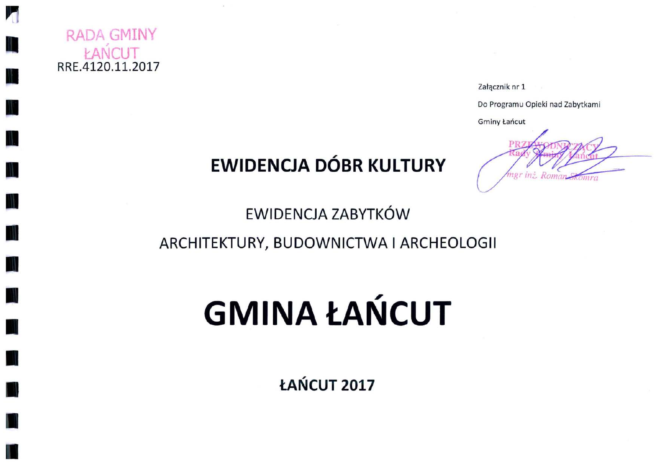

h

Załącznik nr 1

Do Programu Opieki nad Zabytkami

**Gminy Łańcut** 

## **EWIDENCJA DÓBR KULTURY**

Roman Chomra

**EWIDENCJA ZABYTKÓW** 

ARCHITEKTURY, BUDOWNICTWA I ARCHEOLOGII

# **GMINA ŁAŃCUT**

ŁAŃCUT 2017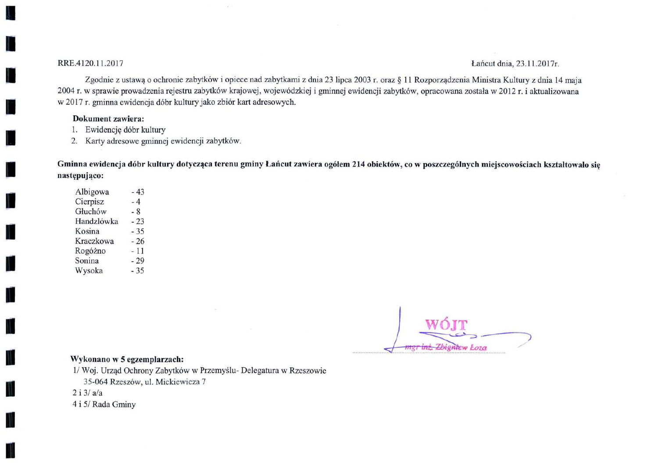#### RRE.4120.11.2017

#### Lańcut dnia, 23.11.2017r.

Zgodnie z ustawa o ochronie zabytków i opiece nad zabytkami z dnia 23 lipca 2003 r. oraz § 11 Rozporządzenia Ministra Kultury z dnia 14 maja 2004 r. w sprawie prowadzenia rejestru zabytków krajowej, wojewódzkiej i gminnej ewidencji zabytków, opracowana została w 2012 r. i aktualizowana w 2017 r. gminna ewidencja dóbr kultury jako zbiór kart adresowych.

#### **Dokument** zawiera:

- 1. Ewidencję dóbr kultury
- 2. Karty adresowe gminnej ewidencji zabytków.

Gminna ewidencja dóbr kultury dotycząca terenu gminy Łańcut zawiera ogółem 214 obiektów, co w poszczególnych miejscowościach kształtowało się następująco:

Albigowa  $-43$ Cierpisz  $-4$ Głuchów  $-8$ Handzlówka  $-23$ Kosina  $-35$ Kraczkowa  $-26$ Rogóżno  $-11$ Sonina  $-29$ Wysoka  $-35$ 

<del>ngr inż. Zbignie</del>w Łoza

#### Wykonano w 5 egzemplarzach:

1/ Woj. Urząd Ochrony Zabytków w Przemyślu- Delegatura w Rzeszowie 35-064 Rzeszów, ul. Mickiewicza 7  $2i3/a/a$ 4 i 5/ Rada Gminy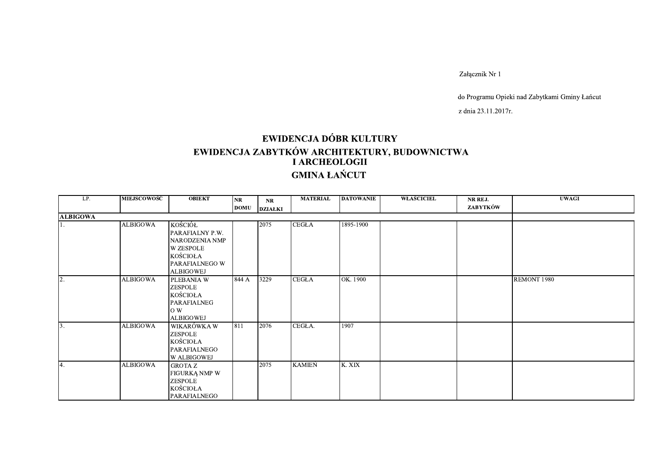Załącznik Nr 1

do Programu Opieki nad Zabytkami Gminy Łańcut

z dnia 23.11.2017r.

### EWIDENCJA DÓBR KULTURY EWIDENCJA ZABYTKÓW ARCHITEKTURY, BUDOWNICTWA<br>I ARCHEOLOGII **GMINA ŁAŃCUT**

| LP.             | <b>MIEJSCOWOŚĆ</b> | <b>OBIEKT</b>                                                                                               | NR          | <b>NR</b>      | <b>MATERIAL</b> | <b>DATOWANIE</b> | WŁAŚCICIEL | NR REJ.  | <b>UWAGI</b> |
|-----------------|--------------------|-------------------------------------------------------------------------------------------------------------|-------------|----------------|-----------------|------------------|------------|----------|--------------|
|                 |                    |                                                                                                             | <b>DOMU</b> | <b>DZIAŁKI</b> |                 |                  |            | ZABYTKÓW |              |
| <b>ALBIGOWA</b> |                    |                                                                                                             |             |                |                 |                  |            |          |              |
| 11.             | <b>ALBIGOWA</b>    | KOŚCIÓŁ<br>PARAFIALNY P.W.<br>NARODZENIA NMP<br><b>W ZESPOLE</b><br>KOŚCIOŁA<br>PARAFIALNEGO W<br>ALBIGOWEJ |             | 2075           | <b>CEGŁA</b>    | 1895-1900        |            |          |              |
| 2.              | <b>ALBIGOWA</b>    | PLEBANIA W<br><b>ZESPOLE</b><br>KOŚCIOŁA<br>PARAFIALNEG<br>O W<br><b>ALBIGOWEJ</b>                          | 844 A       | 3229           | <b>CEGLA</b>    | OK. 1900         |            |          | REMONT 1980  |
| 3.              | <b>ALBIGOWA</b>    | WIKARÓWKA W<br>ZESPOLE<br>KOŚCIOŁA<br><b>PARAFIALNEGO</b><br>W ALBIGOWEJ                                    | 811         | 2076           | CEGŁA.          | 1907             |            |          |              |
| 14.             | <b>ALBIGOWA</b>    | <b>GROTA Z</b><br>FIGURKĄ NMP W<br>ZESPOLE<br>KOŚCIOŁA<br>PARAFIALNEGO                                      |             | 2075           | <b>KAMIEŃ</b>   | K. XIX           |            |          |              |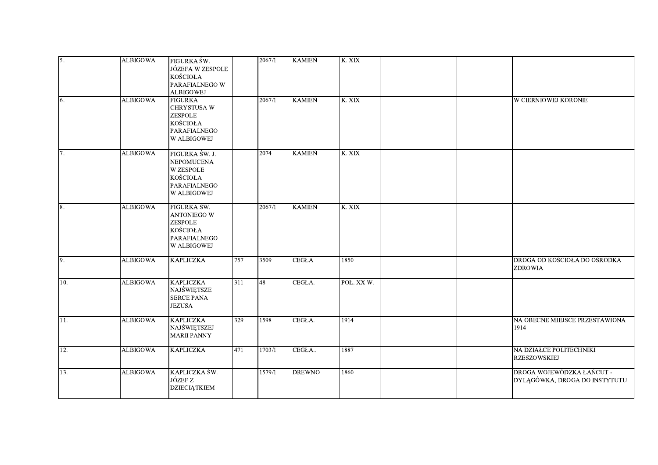| 5.  | <b>ALBIGOWA</b> | FIGURKA ŚW.<br>JÓZEFA W ZESPOLE<br><b>KOŚCIOŁA</b><br>PARAFIALNEGO W<br><b>ALBIGOWEJ</b>    |     | 2067/1 | <b>KAMIEŃ</b> | K. XIX     |                                                            |
|-----|-----------------|---------------------------------------------------------------------------------------------|-----|--------|---------------|------------|------------------------------------------------------------|
| 6.  | <b>ALBIGOWA</b> | <b>FIGURKA</b><br>CHRYSTUSA W<br>ZESPOLE<br><b>KOŚCIOŁA</b><br>PARAFIALNEGO<br>W ALBIGOWEJ  |     | 2067/1 | <b>KAMIEŃ</b> | K. XIX     | <b>W CIERNIOWEJ KORONIE</b>                                |
| 7.  | <b>ALBIGOWA</b> | FIGURKA ŚW. J.<br>NEPOMUCENA<br><b>W ZESPOLE</b><br>KOŚCIOŁA<br>PARAFIALNEGO<br>W ALBIGOWEJ |     | 2074   | <b>KAMIEŃ</b> | K. XIX     |                                                            |
| 18. | <b>ALBIGOWA</b> | FIGURKA ŚW.<br>ANTONIEGO W<br>ZESPOLE<br><b>KOŚCIOŁA</b><br>PARAFIALNEGO<br>W ALBIGOWEJ     |     | 2067/1 | <b>KAMIEŃ</b> | K. XIX     |                                                            |
| 9.  | <b>ALBIGOWA</b> | <b>KAPLICZKA</b>                                                                            | 757 | 3509   | <b>CEGŁA</b>  | 1850       | DROGA OD KOŚCIOŁA DO OŚRODKA<br><b>ZDROWIA</b>             |
| 10. | <b>ALBIGOWA</b> | <b>KAPLICZKA</b><br>NAJŚWIĘTSZE<br><b>SERCE PANA</b><br><b>JEZUSA</b>                       | 311 | 48     | CEGŁA.        | POŁ. XX W. |                                                            |
| 11. | <b>ALBIGOWA</b> | <b>KAPLICZKA</b><br>NAJŚWIĘTSZEJ<br><b>MARII PANNY</b>                                      | 329 | 1598   | CEGŁA.        | 1914       | NA OBECNE MIEJSCE PRZESTAWIONA<br>1914                     |
| 12. | <b>ALBIGOWA</b> | <b>KAPLICZKA</b>                                                                            | 471 | 1703/1 | CEGŁA         | 1887       | NA DZIAŁCE POLITECHNIKI<br><b>RZESZOWSKIEJ</b>             |
| 13. | <b>ALBIGOWA</b> | KAPLICZKA ŚW.<br>JÓZEF Z<br><b>DZIECIĄTKIEM</b>                                             |     | 1579/1 | <b>DREWNO</b> | 1860       | DROGA WOJEWÓDZKA ŁAŃCUT -<br>DYLĄGÓWKA, DROGA DO INSTYTUTU |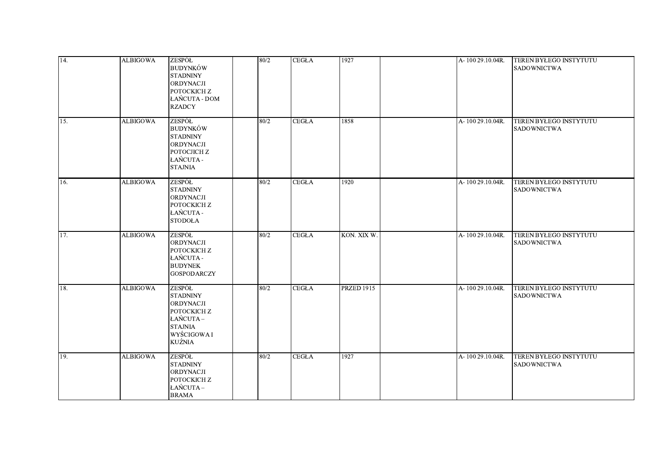| 14. | <b>ALBIGOWA</b> | ZESPÓŁ<br><b>BUDYNKÓW</b><br><b>STADNINY</b><br>ORDYNACJI<br>POTOCKICH Z<br>ŁAŃCUTA - DOM<br><b>RZADCY</b>                  | 80/2 | <b>CEGŁA</b> | 1927              | A-100 29.10.04R. | <b>TEREN BYŁEGO INSTYTUTU</b><br><b>SADOWNICTWA</b> |
|-----|-----------------|-----------------------------------------------------------------------------------------------------------------------------|------|--------------|-------------------|------------------|-----------------------------------------------------|
| 15. | <b>ALBIGOWA</b> | <b>ZESPÓŁ</b><br><b>BUDYNKÓW</b><br><b>STADNINY</b><br><b>ORDYNACJI</b><br><b>РОТОСЛСН Z</b><br>ŁAŃCUTA -<br><b>STAJNIA</b> | 80/2 | <b>CEGŁA</b> | 1858              | A-100 29.10.04R. | TEREN BYŁEGO INSTYTUTU<br><b>SADOWNICTWA</b>        |
| 16. | <b>ALBIGOWA</b> | ZESPÓŁ<br><b>STADNINY</b><br><b>ORDYNACJI</b><br>POTOCKICH Z<br><b>ŁAŃCUTA -</b><br><b>STODOŁA</b>                          | 80/2 | <b>CEGŁA</b> | 1920              | A-100 29.10.04R. | TEREN BYŁEGO INSTYTUTU<br><b>SADOWNICTWA</b>        |
| 17. | <b>ALBIGOWA</b> | ZESPÓŁ<br><b>ORDYNACJI</b><br>POTOCKICH Z<br>ŁAŃCUTA -<br><b>BUDYNEK</b><br><b>GOSPODARCZY</b>                              | 80/2 | <b>CEGŁA</b> | KON. XIX W.       | A-100 29.10.04R. | <b>TEREN BYŁEGO INSTYTUTU</b><br><b>SADOWNICTWA</b> |
| 18. | <b>ALBIGOWA</b> | ZESPÓŁ<br><b>STADNINY</b><br><b>ORDYNACJI</b><br>POTOCKICH Z<br>ŁAŃCUTA-<br><b>STAJNIA</b><br>WYŚCIGOWA I<br>KUŹNIA         | 80/2 | <b>CEGLA</b> | <b>PRZED 1915</b> | A-100 29.10.04R. | TEREN BYŁEGO INSTYTUTU<br><b>SADOWNICTWA</b>        |
| 19. | <b>ALBIGOWA</b> | ZESPÓŁ<br><b>STADNINY</b><br><b>ORDYNACJI</b><br>POTOCKICH Z<br>ŁAŃCUTA –<br><b>BRAMA</b>                                   | 80/2 | <b>CEGŁA</b> | 1927              | A-100 29.10.04R. | TEREN BYŁEGO INSTYTUTU<br><b>SADOWNICTWA</b>        |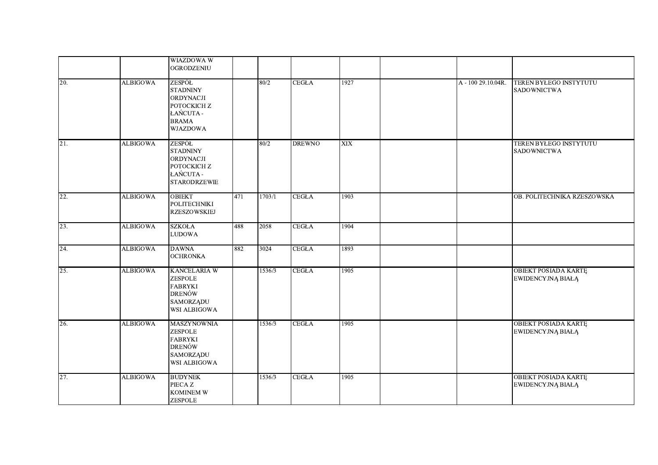|            |                 | <b>WIAZDOWA W</b><br><b>OGRODZENIU</b>                                                                      |     |        |               |      |                    |                                                         |
|------------|-----------------|-------------------------------------------------------------------------------------------------------------|-----|--------|---------------|------|--------------------|---------------------------------------------------------|
| <b>20.</b> | <b>ALBIGOWA</b> | ZESPÓŁ<br><b>STADNINY</b><br>ORDYNACJI<br>РОТОСКІСН Z<br>ŁAŃCUTA -<br><b>BRAMA</b><br><b>WJAZDOWA</b>       |     | 80/2   | <b>CEGŁA</b>  | 1927 | A - 100 29.10.04R. | <b>TEREN BYŁEGO INSTYTUTU</b><br><b>SADOWNICTWA</b>     |
| 21.        | <b>ALBIGOWA</b> | ZESPÓŁ<br><b>STADNINY</b><br>ORDYNACJI<br>POTOCKICH Z<br>ŁAŃCUTA -<br><b>STARODRZEWIE</b>                   |     | 80/2   | <b>DREWNO</b> | XIX  |                    | TEREN BYŁEGO INSTYTUTU<br><b>SADOWNICTWA</b>            |
| 22.        | <b>ALBIGOWA</b> | <b>OBIEKT</b><br><b>POLITECHNIKI</b><br><b>RZESZOWSKIEJ</b>                                                 | 471 | 1703/1 | <b>CEGŁA</b>  | 1903 |                    | OB. POLITECHNIKA RZESZOWSKA                             |
| 23.        | <b>ALBIGOWA</b> | <b>SZKOŁA</b><br>$\ensuremath{\mathrm{LUDOWA}}$                                                             | 488 | 2058   | <b>CEGŁA</b>  | 1904 |                    |                                                         |
| 24.        | <b>ALBIGOWA</b> | <b>DAWNA</b><br><b>OCHRONKA</b>                                                                             | 882 | 3024   | <b>CEGŁA</b>  | 1893 |                    |                                                         |
| 25.        | <b>ALBIGOWA</b> | <b>KANCELARIA W</b><br>ZESPOLE<br><b>FABRYKI</b><br>DRENÓW<br><b>SAMORZĄDU</b><br>WSI ALBIGOWA              |     | 1536/3 | <b>CEGŁA</b>  | 1905 |                    | <b>OBIEKT POSIADA KARTĘ</b><br><b>EWIDENCYJNĄ BIAŁĄ</b> |
| 26.        | <b>ALBIGOWA</b> | <b>MASZYNOWNIA</b><br><b>ZESPOLE</b><br><b>FABRYKI</b><br><b>DRENÓW</b><br><b>SAMORZĄDU</b><br>WSI ALBIGOWA |     | 1536/3 | <b>CEGLA</b>  | 1905 |                    | <b>OBIEKT POSIADA KARTĘ</b><br><b>EWIDENCYJNĄ BIAŁĄ</b> |
| 27.        | <b>ALBIGOWA</b> | <b>BUDYNEK</b><br>PIECA Z<br>KOMINEM W<br>ZESPOLE                                                           |     | 1536/3 | <b>CEGŁA</b>  | 1905 |                    | <b>OBIEKT POSIADA KARTE</b><br><b>EWIDENCYJNĄ BIAŁĄ</b> |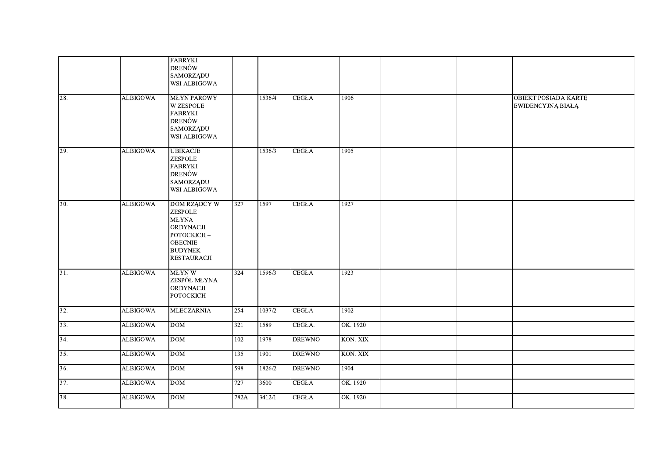|                   |                 | <b>FABRYKI</b><br><b>DRENÓW</b><br><b>SAMORZĄDU</b><br>WSI ALBIGOWA                                                                 |                  |        |               |          |  |                                                         |
|-------------------|-----------------|-------------------------------------------------------------------------------------------------------------------------------------|------------------|--------|---------------|----------|--|---------------------------------------------------------|
| 28.               | <b>ALBIGOWA</b> | <b>MŁYN PAROWY</b><br>W ZESPOLE<br><b>FABRYKI</b><br>DRENÓW<br><b>SAMORZĄDU</b><br>WSI ALBIGOWA                                     |                  | 1536/4 | <b>CEGŁA</b>  | 1906     |  | <b>OBIEKT POSIADA KARTĘ</b><br><b>EWIDENCYJNĄ BIAŁĄ</b> |
| 29.               | <b>ALBIGOWA</b> | <b>UBIKACJE</b><br>ZESPOLE<br><b>FABRYKI</b><br>DRENÓW<br><b>SAMORZĄDU</b><br>WSI ALBIGOWA                                          |                  | 1536/3 | <b>CEGŁA</b>  | 1905     |  |                                                         |
| 30.               | <b>ALBIGOWA</b> | <b>DOM RZĄDCY W</b><br>ZESPOLE<br><b>MŁYNA</b><br>ORDYNACJI<br>РОТОСКІСН-<br><b>OBECNIE</b><br><b>BUDYNEK</b><br><b>RESTAURACJI</b> | 327              | 1597   | <b>CEGLA</b>  | 1927     |  |                                                         |
| $\overline{31}$ . | <b>ALBIGOWA</b> | <b>MŁYNW</b><br>ZESPÓŁ MŁYNA<br>ORDYNACJI<br>РОТОСКІСН                                                                              | 324              | 1596/3 | <b>CEGLA</b>  | 1923     |  |                                                         |
| 32.               | <b>ALBIGOWA</b> | <b>MLECZARNIA</b>                                                                                                                   | 254              | 1037/2 | <b>CEGLA</b>  | 1902     |  |                                                         |
| 33.               | <b>ALBIGOWA</b> | DOM                                                                                                                                 | 321              | 1589   | CEGŁA.        | OK. 1920 |  |                                                         |
| 34.               | <b>ALBIGOWA</b> | DOM                                                                                                                                 | 102              | 1978   | <b>DREWNO</b> | KON. XIX |  |                                                         |
| 35.               | <b>ALBIGOWA</b> | $DOM$                                                                                                                               | $\overline{135}$ | 1901   | <b>DREWNO</b> | KON. XIX |  |                                                         |
| 36.               | <b>ALBIGOWA</b> | <b>DOM</b>                                                                                                                          | 598              | 1826/2 | <b>DREWNO</b> | 1904     |  |                                                         |
| 37.               | <b>ALBIGOWA</b> | DOM                                                                                                                                 | 727              | 3600   | <b>CEGŁA</b>  | OK. 1920 |  |                                                         |
| 38.               | <b>ALBIGOWA</b> | DOM                                                                                                                                 | 782A             | 3412/1 | <b>CEGŁA</b>  | OK. 1920 |  |                                                         |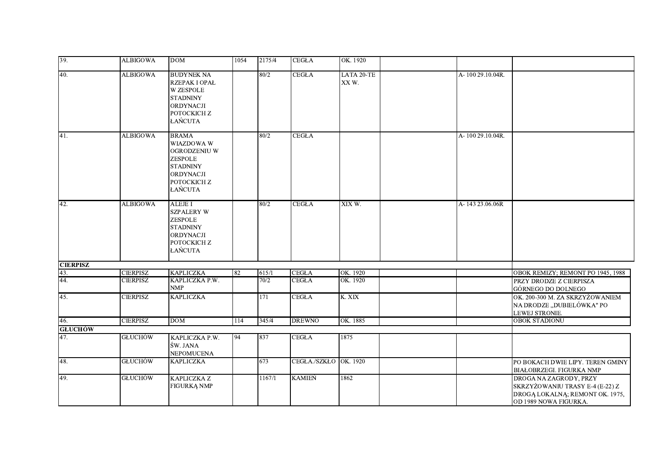| 39.             | <b>ALBIGOWA</b> | <b>DOM</b>                                                                                                                     | 1054 | 2175/4 | <b>CEGŁA</b>          | OK. 1920           |                  |                                                                                                                       |
|-----------------|-----------------|--------------------------------------------------------------------------------------------------------------------------------|------|--------|-----------------------|--------------------|------------------|-----------------------------------------------------------------------------------------------------------------------|
| 40.             | <b>ALBIGOWA</b> | <b>BUDYNEK NA</b><br><b>RZEPAK I OPAŁ</b><br><b>W ZESPOLE</b><br><b>STADNINY</b><br><b>ORDYNACJI</b><br>POTOCKICH Z<br>ŁAŃCUTA |      | 80/2   | <b>CEGŁA</b>          | LATA 20-TE<br>XXW. | A-100 29.10.04R. |                                                                                                                       |
| $\overline{41}$ | <b>ALBIGOWA</b> | <b>BRAMA</b><br>WIAZDOWA W<br>OGRODZENIU W<br>ZESPOLE<br><b>STADNINY</b><br><b>ORDYNACJI</b><br>POTOCKICH Z<br>ŁAŃCUTA         |      | 80/2   | <b>CEGŁA</b>          |                    | A-100 29.10.04R. |                                                                                                                       |
| 42.             | <b>ALBIGOWA</b> | <b>ALEJE I</b><br><b>SZPALERY W</b><br><b>ZESPOLE</b><br><b>STADNINY</b><br>ORDYNACJI<br>РОТОСКІСН Z<br>ŁAŃCUTA                |      | 80/2   | <b>CEGŁA</b>          | XIX W.             | A-143 23.06.06R  |                                                                                                                       |
| <b>CIERPISZ</b> |                 |                                                                                                                                |      |        |                       |                    |                  |                                                                                                                       |
| 43.             | <b>CIERPISZ</b> | <b>KAPLICZKA</b>                                                                                                               | 82   | 615/1  | <b>CEGŁA</b>          | OK. 1920           |                  | OBOK REMIZY; REMONT PO 1945, 1988                                                                                     |
| 44.             | <b>CIERPISZ</b> | KAPLICZKA P.W.<br><b>NMP</b>                                                                                                   |      | 70/2   | <b>CEGŁA</b>          | OK. 1920           |                  | PRZY DRODZE Z CIERPISZA<br>GÓRNEGO DO DOLNEGO                                                                         |
| 45.             | <b>CIERPISZ</b> | <b>KAPLICZKA</b>                                                                                                               |      | 171    | <b>CEGŁA</b>          | K. XIX             |                  | OK. 200-300 M. ZA SKRZYŻOWANIEM<br>NA DRODZE "DUBIELÓWKA" PO<br>LEWEJ STRONIE.                                        |
| 46.             | <b>CIERPISZ</b> | DOM                                                                                                                            | 114  | 345/4  | <b>DREWNO</b>         | OK. 1885           |                  | <b>OBOK STADIONU</b>                                                                                                  |
| <b>GLUCHÓW</b>  |                 |                                                                                                                                |      |        |                       |                    |                  |                                                                                                                       |
| 47.             | <b>GŁUCHÓW</b>  | KAPLICZKA P.W.<br>ŚW. JANA<br>NEPOMUCENA                                                                                       | 94   | 837    | <b>CEGLA</b>          | 1875               |                  |                                                                                                                       |
| 48.             | <b>GŁUCHÓW</b>  | <b>KAPLICZKA</b>                                                                                                               |      | 673    | CEGŁA./SZKŁO OK. 1920 |                    |                  | PO BOKACH DWIE LIPY. TEREN GMINY<br><b>BIAŁOBRZEGI. FIGURKA NMP</b>                                                   |
| 49.             | <b>GŁUCHÓW</b>  | KAPLICZKA Z<br>FIGURKĄ NMP                                                                                                     |      | 1167/1 | <b>KAMIEŃ</b>         | 1862               |                  | DROGA NA ZAGRODY, PRZY<br>SKRZYŻOWANIU TRASY E-4 (E-22) Z<br>DROGĄ LOKALNĄ; REMONT OK. 1975,<br>OD 1989 NOWA FIGURKA. |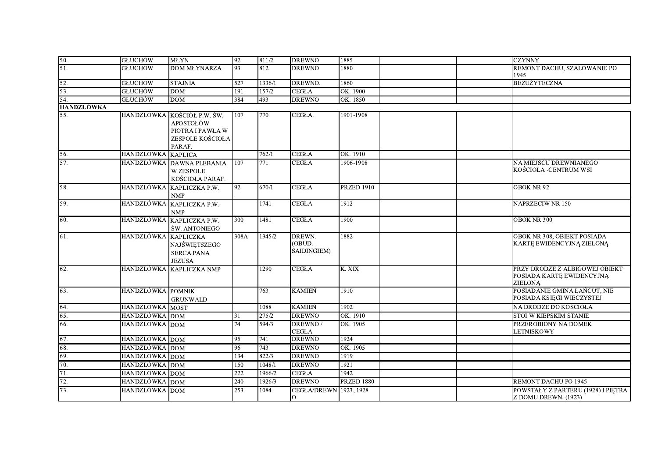| 50.                      | <b>GLUCHÓW</b>                   | <b>MLYN</b>                                                                                | 92              | 811/2            | <b>DREWNO</b>                   | 1885              | <b>CZYNNY</b>                                                                 |
|--------------------------|----------------------------------|--------------------------------------------------------------------------------------------|-----------------|------------------|---------------------------------|-------------------|-------------------------------------------------------------------------------|
| 51.                      | <b>GLUCHÓW</b>                   | <b>DOM MŁYNARZA</b>                                                                        | 93              | 812              | <b>DREWNO</b>                   | 1880              | REMONT DACHU, SZALOWANIE PO<br>1945                                           |
| 52.                      | <b>GLUCHÓW</b>                   | <b>STAJNIA</b>                                                                             | 527             | 1336/1           | DREWNO.                         | 1860              | <b>BEZUŻYTECZNA</b>                                                           |
| 53.                      | <b>GŁUCHÓW</b>                   | <b>DOM</b>                                                                                 | 191             | 157/2            | <b>CEGŁA</b>                    | OK. 1900          |                                                                               |
| 54.                      | <b>GLUCHÓW</b>                   | $DOM$                                                                                      | 384             | 493              | <b>DREWNO</b>                   | OK. 1850          |                                                                               |
| <b>HANDZLÓWKA</b><br>55. |                                  | HANDZLÓWKA KOŚCIÓŁ P.W. ŚW.<br>APOSTOŁÓW<br>PIOTRA I PAWŁA W<br>ZESPOLE KOŚCIOŁA<br>PARAF. | 107             | 770              | CEGŁA.                          | 1901-1908         |                                                                               |
| 56.                      | HANDZLÓWKA KAPLICA               |                                                                                            |                 | 762/1            | <b>CEGŁA</b>                    | OK. 1910          |                                                                               |
| 57.                      |                                  | HANDZLÓWKA DAWNA PLEBANIA<br><b>W ZESPOLE</b><br>KOŚCIOŁA PARAF.                           | 107             | 771              | <b>CEGŁA</b>                    | 1906-1908         | NA MIEJSCU DREWNIANEGO<br>KOŚCIOŁA -CENTRUM WSI                               |
| 58.                      |                                  | HANDZLÓWKA KAPLICZKA P.W.<br><b>NMP</b>                                                    | 92              | 670/1            | ${\rm CEGLA}$                   | <b>PRZED 1910</b> | OBOK NR 92                                                                    |
| 59.                      |                                  | HANDZLÓWKA KAPLICZKA P.W.<br><b>NMP</b>                                                    |                 | 1741             | <b>CEGŁA</b>                    | 1912              | <b>NAPRZECIW NR 150</b>                                                       |
| 60.                      |                                  | HANDZLÓWKA KAPLICZKA P.W.<br><b>SW. ANTONIEGO</b>                                          | 300             | 1481             | <b>CEGŁA</b>                    | 1900              | <b>OBOK NR 300</b>                                                            |
| 61.                      | HANDZLÓWKA KAPLICZKA             | NAJŚWIĘTSZEGO<br><b>SERCA PANA</b><br><b>JEZUSA</b>                                        | 308A            | 1345/2           | DREWN.<br>(OBUD.<br>SAIDINGIEM) | 1882              | OBOK NR 308, OBIEKT POSIADA<br>KARTĘ EWIDENCYJNĄ ZIELONĄ                      |
| 62.                      |                                  | HANDZLÓWKA KAPLICZKA NMP                                                                   |                 | 1290             | <b>CEGŁA</b>                    | K. XIX            | PRZY DRODZE Z ALBIGOWEJ OBIEKT<br>POSIADA KARTĘ EWIDENCYJNĄ<br><b>ZIELONĄ</b> |
| 63.                      | HANDZLÓWKA POMNIK                | <b>GRUNWALD</b>                                                                            |                 | 763              | <b>KAMIEŃ</b>                   | 1910              | POSIADANIE GMINA ŁAŃCUT, NIE<br>POSIADA KSIĘGI WIECZYSTEJ                     |
| 64.                      | HANDZLÓWKA MOST                  |                                                                                            |                 | 1088             | <b>KAMIEN</b>                   | 1902              | NA DRODZE DO KOŚCIOŁA                                                         |
| 65.                      | HANDZLÓWKA DOM                   |                                                                                            | 31              | 275/2            | <b>DREWNO</b>                   | OK. 1910          | STOI W KIEPSKIM STANIE                                                        |
| 66.                      | HANDZLÓWKA DOM                   |                                                                                            | 74              | 594/3            | DREWNO/<br><b>CEGŁA</b>         | OK. 1905          | PRZEROBIONY NA DOMEK<br><b>LETNISKOWY</b>                                     |
| 67.                      | HANDZLÓWKA DOM                   |                                                                                            | 95              | 741              | <b>DREWNO</b>                   | 1924              |                                                                               |
| 68.                      | HANDZLÓWKA DOM                   |                                                                                            | $\overline{96}$ | 743              | <b>DREWNO</b>                   | OK. 1905          |                                                                               |
| 69.                      | HANDZLÓWKA DOM                   |                                                                                            | 134             | 822/3            | <b>DREWNO</b>                   | 1919              |                                                                               |
| $\overline{70}$ .        | HANDZLÓWKA DOM                   |                                                                                            | 150             | 1048/1           | <b>DREWNO</b>                   | 1921<br>1942      |                                                                               |
| 71.<br>72.               | HANDZLÓWKA DOM<br>HANDZLÓWKA DOM |                                                                                            | 222<br>240      | 1966/2<br>1926/3 | <b>CEGŁA</b><br><b>DREWNO</b>   | <b>PRZED 1880</b> | REMONT DACHU PO 1945                                                          |
| 73.                      | HANDZLÓWKA DOM                   |                                                                                            | 253             | 1084             | CEGŁA/DREWN 1923, 1928          |                   | POWSTAŁY Z PARTERU (1928) I PIĘTRA                                            |
|                          |                                  |                                                                                            |                 |                  | $\circ$                         |                   | Z DOMU DREWN. (1923)                                                          |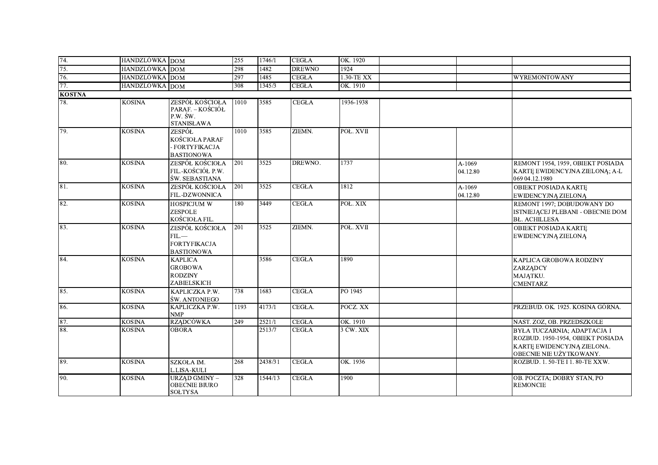| 74.           | HANDZLÓWKA DOM        |                                                                        | 255  | 1746/1  | <b>CEGŁA</b>  | OK. 1920   |                    |                                                                                                                                  |
|---------------|-----------------------|------------------------------------------------------------------------|------|---------|---------------|------------|--------------------|----------------------------------------------------------------------------------------------------------------------------------|
| 75.           | <b>HANDZLÓWKA</b> DOM |                                                                        | 298  | 1482    | <b>DREWNO</b> | 1924       |                    |                                                                                                                                  |
| 76.           | HANDZLÓWKA DOM        |                                                                        | 297  | 1485    | <b>CEGŁA</b>  | 1.30-TE XX |                    | <b>WYREMONTOWANY</b>                                                                                                             |
| 77.           | HANDZLÓWKA DOM        |                                                                        | 308  | 1345/3  | <b>CEGŁA</b>  | OK. 1910   |                    |                                                                                                                                  |
| <b>KOSTNA</b> |                       |                                                                        |      |         |               |            |                    |                                                                                                                                  |
| 78.           | <b>KOSINA</b>         | ZESPÓŁ KOŚCIOŁA<br>PARAF. – KOŚCIÓŁ<br>P.W. ŚW.<br><b>STANISŁAWA</b>   | 1010 | 3585    | <b>CEGŁA</b>  | 1936-1938  |                    |                                                                                                                                  |
| 79.           | <b>KOSINA</b>         | ZESPÓŁ<br>KOŚCIOŁA PARAF<br>- FORTYFIKACJA<br><b>BASTIONOWA</b>        | 1010 | 3585    | ZIEMN.        | POŁ. XVII  |                    |                                                                                                                                  |
| 80.           | <b>KOSINA</b>         | ZESPÓŁ KOŚCIOŁA<br>FIL.-KOŚCIÓŁ P.W.<br>ŚW. SEBASTIANA                 | 201  | 3525    | DREWNO.       | 1737       | A-1069<br>04.12.80 | REMONT 1954, 1959, OBIEKT POSIADA<br>KARTE EWIDENCYJNA ZIELONĄ; A-L<br>069 04.12.1980                                            |
| 81.           | <b>KOSINA</b>         | ZESPÓŁ KOŚCIOŁA<br>FIL.-DZWONNICA                                      | 201  | 3525    | <b>CEGŁA</b>  | 1812       | A-1069<br>04.12.80 | OBIEKT POSIADA KARTE<br>EWIDENCYJNĄ ZIELONĄ                                                                                      |
| 82.           | <b>KOSINA</b>         | <b>HOSPICJUM W</b><br><b>ZESPOLE</b><br>KOŚCIOŁA FIL.                  | 180  | 3449    | <b>CEGŁA</b>  | POŁ. XIX   |                    | REMONT 1997; DOBUDOWANY DO<br>ISTNIEJĄCEJ PLEBANI - OBECNIE DOM<br><b>BL. ACHILLESA</b>                                          |
| 83.           | <b>KOSINA</b>         | ZESPÓŁ KOŚCIOŁA<br>$FL. -$<br><b>FORTYFIKACJA</b><br><b>BASTIONOWA</b> | 201  | 3525    | ZIEMN.        | POŁ. XVII  |                    | <b>OBIEKT POSIADA KARTE</b><br><b>EWIDENCYJNĄ ZIELONĄ</b>                                                                        |
| 84.           | <b>KOSINA</b>         | <b>KAPLICA</b><br><b>GROBOWA</b><br><b>RODZINY</b><br>ZABIELSKICH      |      | 3586    | <b>CEGŁA</b>  | 1890       |                    | KAPLICA GROBOWA RODZINY<br><b>ZARZĄDCY</b><br>MAJĄTKU.<br><b>CMENTARZ</b>                                                        |
| 85.           | <b>KOSINA</b>         | KAPLICZKA P.W.<br><b>ŚW. ANTONIEGO</b>                                 | 738  | 1683    | <b>CEGŁA</b>  | PO 1945    |                    |                                                                                                                                  |
| 86.           | <b>KOSINA</b>         | KAPLICZKA P.W.<br><b>NMP</b>                                           | 1193 | 4173/1  | CEGŁA.        | POCZ. XX   |                    | PRZEBUD. OK. 1925. KOSINA GÓRNA.                                                                                                 |
| 87.           | <b>KOSINA</b>         | <b>RZADCÓWKA</b>                                                       | 249  | 2521/1  | <b>CEGŁA</b>  | OK. 1910   |                    | NAST. ZOZ, OB. PRZEDSZKOLE                                                                                                       |
| 88.           | <b>KOSINA</b>         | <b>OBORA</b>                                                           |      | 2513/7  | <b>CEGŁA</b>  | 3 ĆW. XIX  |                    | <b>BYŁA TUCZARNIA; ADAPTACJA I</b><br>ROZBUD. 1950-1954, OBIEKT POSIADA<br>KARTĘ EWIDENCYJNĄ ZIELONA.<br>OBECNIE NIE UŻYTKOWANY. |
| 89.           | <b>KOSINA</b>         | SZKOŁA IM.<br>L.LISA-KULI                                              | 268  | 2438/31 | <b>CEGŁA</b>  | OK. 1936   |                    | ROZBUD. 1. 50-TE I 1. 80-TE XXW.                                                                                                 |
| 90.           | <b>KOSINA</b>         | <b>URZĄD GMINY -</b><br><b>OBECNIE BIURO</b><br><b>SOLTYSA</b>         | 328  | 1544/13 | <b>CEGŁA</b>  | 1900       |                    | OB. POCZTA: DOBRY STAN, PO<br><b>REMONCIE</b>                                                                                    |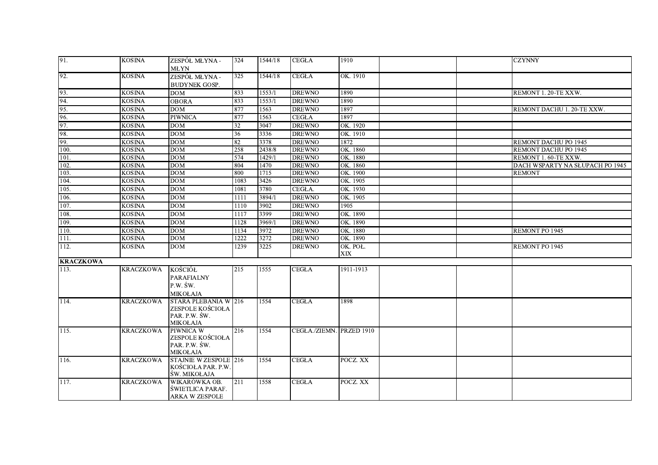| 91.              | <b>KOSINA</b>    | ZESPÓŁ MŁYNA -<br><b>MLYN</b>                                         | 324  | 1544/18 | <b>CEGLA</b>             | 1910                   |  | <b>CZYNNY</b>                   |
|------------------|------------------|-----------------------------------------------------------------------|------|---------|--------------------------|------------------------|--|---------------------------------|
| $\overline{92}$  | <b>KOSINA</b>    | ZESPÓŁ MŁYNA -<br><b>BUDYNEK GOSP.</b>                                | 325  | 1544/18 | <b>CEGŁA</b>             | OK. 1910               |  |                                 |
| 93.              | <b>KOSINA</b>    | <b>DOM</b>                                                            | 833  | 1553/1  | <b>DREWNO</b>            | 1890                   |  | REMONT 1.20-TE XXW.             |
| 94.              | <b>KOSINA</b>    | <b>OBORA</b>                                                          | 833  | 1553/1  | <b>DREWNO</b>            | 1890                   |  |                                 |
| 95.              | <b>KOSINA</b>    | <b>DOM</b>                                                            | 877  | 1563    | <b>DREWNO</b>            | 1897                   |  | REMONT DACHU 1. 20-TE XXW.      |
| 96.              | <b>KOSINA</b>    | <b>PIWNICA</b>                                                        | 877  | 1563    | <b>CEGŁA</b>             | 1897                   |  |                                 |
| 97.              | <b>KOSINA</b>    | <b>DOM</b>                                                            | 32   | 3047    | <b>DREWNO</b>            | OK. 1920               |  |                                 |
| 98.              | <b>KOSINA</b>    | <b>DOM</b>                                                            | 36   | 3336    | <b>DREWNO</b>            | OK. 1910               |  |                                 |
| $\overline{99}$  | <b>KOSINA</b>    | <b>DOM</b>                                                            | 82   | 3378    | <b>DREWNO</b>            | 1872                   |  | REMONT DACHU PO 1945            |
| 100.             | <b>KOSINA</b>    | DOM                                                                   | 258  | 2438/8  | <b>DREWNO</b>            | OK. 1860               |  | REMONT DACHU PO 1945            |
| 101.             | <b>KOSINA</b>    | <b>DOM</b>                                                            | 574  | 1429/1  | <b>DREWNO</b>            | OK. 1880               |  | REMONT 1.60-TE XXW.             |
| 102.             | <b>KOSINA</b>    | $\overline{DOM}$                                                      | 804  | 1470    | <b>DREWNO</b>            | OK. 1860               |  | DACH WSPARTY NA SŁUPACH PO 1945 |
| 103.             | <b>KOSINA</b>    | <b>DOM</b>                                                            | 800  | 1715    | <b>DREWNO</b>            | OK. 1900               |  | <b>REMONT</b>                   |
| 104.             | <b>KOSINA</b>    | $\overline{DOM}$                                                      | 1083 | 3426    | <b>DREWNO</b>            | OK. 1905               |  |                                 |
| 105.             | <b>KOSINA</b>    | DOM                                                                   | 1081 | 3780    | CEGŁA.                   | OK. 1930               |  |                                 |
| 106.             | <b>KOSINA</b>    | $\overline{DOM}$                                                      | 1111 | 3894/1  | <b>DREWNO</b>            | OK. 1905               |  |                                 |
| 107.             | <b>KOSINA</b>    | DOM                                                                   | 1110 | 3902    | <b>DREWNO</b>            | 1905                   |  |                                 |
| 108.             | <b>KOSINA</b>    | <b>DOM</b>                                                            | 1117 | 3399    | <b>DREWNO</b>            | OK. 1890               |  |                                 |
| 109.             | <b>KOSINA</b>    | <b>DOM</b>                                                            | 1128 | 3969/1  | <b>DREWNO</b>            | OK. 1890               |  |                                 |
| 110.             | <b>KOSINA</b>    | <b>DOM</b>                                                            | 1134 | 3972    | <b>DREWNO</b>            | OK. 1880               |  | <b>REMONT PO 1945</b>           |
| 111.             | <b>KOSINA</b>    | DOM                                                                   | 1222 | 3272    | <b>DREWNO</b>            | OK. 1890               |  |                                 |
| 112.             | <b>KOSINA</b>    | <b>DOM</b>                                                            | 1239 | 3225    | <b>DREWNO</b>            | OK. POŁ.<br><b>XIX</b> |  | REMONT PO 1945                  |
| <b>KRACZKOWA</b> |                  |                                                                       |      |         |                          |                        |  |                                 |
| 113.             | <b>KRACZKOWA</b> | KOŚCIÓŁ<br><b>PARAFIALNY</b><br>P.W. ŚW.<br><b>MIKOŁAJA</b>           | 215  | 1555    | <b>CEGŁA</b>             | 1911-1913              |  |                                 |
| 114.             | <b>KRACZKOWA</b> | STARA PLEBANIA W 216<br>ZESPOLE KOŚCIOŁA<br>PAR. P.W. ŚW.<br>MIKOŁAJA |      | 1554    | <b>CEGŁA</b>             | 1898                   |  |                                 |
| $\sqrt{115}$ .   | <b>KRACZKOWA</b> | PIWNICA W<br>ZESPOLE KOŚCIOŁA<br>PAR. P.W. ŚW.<br><b>MIKOŁAJA</b>     | 216  | 1554    | CEGŁA./ZIEMN. PRZED 1910 |                        |  |                                 |
| 116.             | KRACZKOWA        | STAJNIE W ZESPOLE 216<br>KOŚCIOŁA PAR. P.W.<br>ŚW. MIKOŁAJA           |      | 1554    | <b>CEGŁA</b>             | POCZ. XX               |  |                                 |
| <b>117.</b>      | <b>KRACZKOWA</b> | WIKARÓWKA OB.<br>ŚWIETLICA PARAF.<br>ARKA W ZESPOLE                   | 211  | 1558    | <b>CEGŁA</b>             | POCZ. XX               |  |                                 |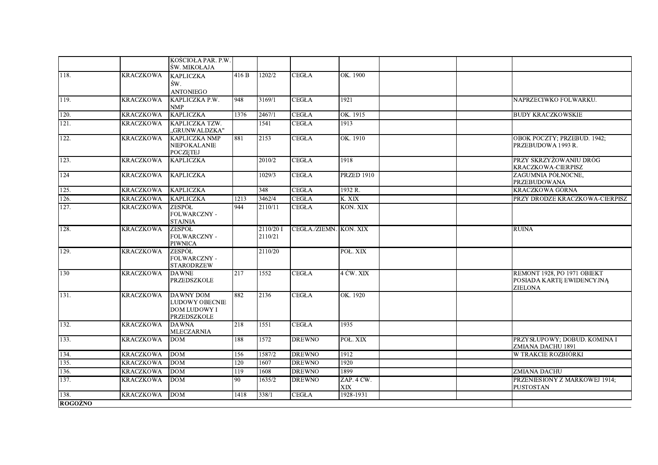|                    |                  | KOŚCIOŁA PAR. P.W.<br>SW. MIKOŁAJA                                       |                  |                     |                        |                          |                                                                            |
|--------------------|------------------|--------------------------------------------------------------------------|------------------|---------------------|------------------------|--------------------------|----------------------------------------------------------------------------|
| 118.               | KRACZKOWA        | <b>KAPLICZKA</b><br>ŚW.<br><b>ANTONIEGO</b>                              | 416 B            | 1202/2              | <b>CEGŁA</b>           | OK. 1900                 |                                                                            |
| 119.               | <b>KRACZKOWA</b> | KAPLICZKA P.W.<br><b>NMP</b>                                             | 948              | 3169/1              | <b>CEGŁA</b>           | 1921                     | NAPRZECIWKO FOLWARKU.                                                      |
| 120.               | <b>KRACZKOWA</b> | <b>KAPLICZKA</b>                                                         | 1376             | 2467/1              | <b>CEGŁA</b>           | OK. 1915                 | <b>BUDY KRACZKOWSKIE</b>                                                   |
| 121.               | KRACZKOWA        | KAPLICZKA TZW.<br>"GRUNWALDZKA"                                          |                  | 1541                | <b>CEGŁA</b>           | 1913                     |                                                                            |
| 122.               | <b>KRACZKOWA</b> | <b>KAPLICZKA NMP</b><br><b>NIEPOKALANIE</b><br><b>POCZETEJ</b>           | 881              | 2153                | <b>CEGLA</b>           | OK. 1910                 | OBOK POCZTY; PRZEBUD. 1942;<br>PRZEBUDOWA 1993 R.                          |
| 123.               | <b>KRACZKOWA</b> | <b>KAPLICZKA</b>                                                         |                  | 2010/2              | <b>CEGŁA</b>           | 1918                     | PRZY SKRZYŻOWANIU DRÓG<br>KRACZKOWA-CIERPISZ                               |
| $\overline{124}$   | <b>KRACZKOWA</b> | <b>KAPLICZKA</b>                                                         |                  | 1029/3              | <b>CEGŁA</b>           | <b>PRZED 1910</b>        | ZAGUMNIA PÓŁNOCNE,<br>PRZEBUDOWANA                                         |
| 125.               | <b>KRACZKOWA</b> | <b>KAPLICZKA</b>                                                         |                  | 348                 | <b>CEGŁA</b>           | 1932 R.                  | <b>KRACZKOWA GÓRNA</b>                                                     |
| 126.               | <b>KRACZKOWA</b> | <b>KAPLICZKA</b>                                                         | 1213             | $3\overline{462/4}$ | <b>CEGŁA</b>           | K. XIX                   | PRZY DRODZE KRACZKOWA-CIERPISZ                                             |
| 127.               | <b>KRACZKOWA</b> | ZESPÓŁ<br>FOLWARCZNY -<br><b>STAJNIA</b>                                 | 944              | 2110/11             | <b>CEGŁA</b>           | KON. XIX                 |                                                                            |
| $\overline{128}$ . | <b>KRACZKOWA</b> | <b>ZESPÓŁ</b><br>FOLWARCZNY -<br><b>PIWNICA</b>                          |                  | 2110/201<br>2110/21 | CEGŁA./ZIEMN. KON. XIX |                          | <b>RUINA</b>                                                               |
| 129.               | <b>KRACZKOWA</b> | ZESPÓŁ<br>FOLWARCZNY -<br><b>STARODRZEW</b>                              |                  | 2110/20             |                        | POŁ. XIX                 |                                                                            |
| 130                | KRACZKOWA        | <b>DAWNE</b><br><b>PRZEDSZKOLE</b>                                       | 217              | 1552                | <b>CEGŁA</b>           | 4 ĆW. XIX                | REMONT 1928, PO 1971 OBIEKT<br>POSIADA KARTE EWIDENCYJNA<br><b>ZIELONA</b> |
| 131.               | <b>KRACZKOWA</b> | <b>DAWNY DOM</b><br><b>LUDOWY OBECNIE</b><br>DOM LUDOWY I<br>PRZEDSZKOLE | 882              | 2136                | <b>CEGŁA</b>           | OK. 1920                 |                                                                            |
| 132.               | KRACZKOWA        | <b>DAWNA</b><br><b>MLECZARNIA</b>                                        | 218              | 1551                | <b>CEGŁA</b>           | 1935                     |                                                                            |
| 133.               | <b>KRACZKOWA</b> | <b>DOM</b>                                                               | 188              | 1572                | <b>DREWNO</b>          | POŁ. XIX                 | PRZYSŁUPOWY; DOBUD. KOMINA I<br>ZMIANA DACHU 1891                          |
| 134.               | <b>KRACZKOWA</b> | <b>DOM</b>                                                               | 156              | 1587/2              | <b>DREWNO</b>          | 1912                     | W TRAKCIE ROZBIÓRKI                                                        |
| 135.               | <b>KRACZKOWA</b> | <b>DOM</b>                                                               | 120              | 1607                | <b>DREWNO</b>          | 1920                     |                                                                            |
| 136.               | <b>KRACZKOWA</b> | <b>DOM</b>                                                               | $\overline{119}$ | 1608                | <b>DREWNO</b>          | 1899                     | <b>ZMIANA DACHU</b>                                                        |
| 137.               | <b>KRACZKOWA</b> | <b>DOM</b>                                                               | 90               | 1635/2              | <b>DREWNO</b>          | ZAP. 4 ĆW.<br><b>XIX</b> | PRZENIESIONY Z MARKOWEJ 1914;<br><b>PUSTOSTAN</b>                          |
| 138.               | <b>KRACZKOWA</b> | <b>DOM</b>                                                               | 1418             | 338/1               | <b>CEGŁA</b>           | 1928-1931                |                                                                            |
| <b>ROGOŹNO</b>     |                  |                                                                          |                  |                     |                        |                          |                                                                            |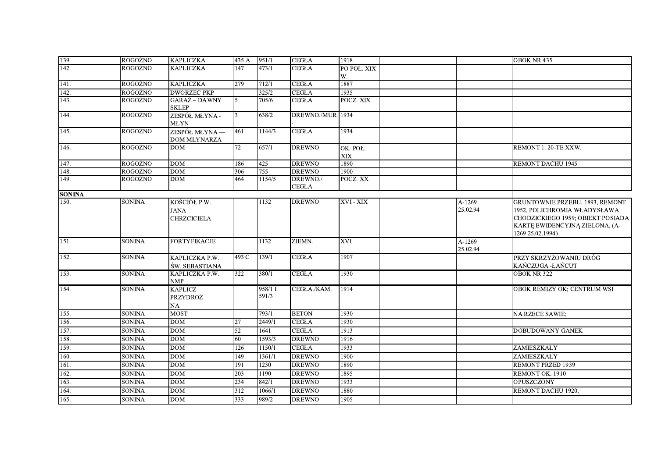| 139.          | <b>ROGOZNO</b> | <b>KAPLICZKA</b>                           | 435 A            | 951/1            | <b>CEGŁA</b>      | 1918                   |                    | OBOK NR 435                                                                                                                                                       |
|---------------|----------------|--------------------------------------------|------------------|------------------|-------------------|------------------------|--------------------|-------------------------------------------------------------------------------------------------------------------------------------------------------------------|
| 142.          | ROGOŹNO        | <b>KAPLICZKA</b>                           | 147              | 473/1            | <b>CEGŁA</b>      | PO POŁ. XIX            |                    |                                                                                                                                                                   |
|               |                |                                            |                  |                  |                   | W.                     |                    |                                                                                                                                                                   |
| 141.          | <b>ROGOZNO</b> | <b>KAPLICZKA</b>                           | 279              | 712/1            | <b>CEGŁA</b>      | 1887                   |                    |                                                                                                                                                                   |
| 142.          | <b>ROGOŹNO</b> | <b>DWORZEC PKP</b>                         |                  | 325/2            | <b>CEGŁA</b>      | 1935                   |                    |                                                                                                                                                                   |
| 143.          | <b>ROGOŹNO</b> | GARAŻ – DAWNY<br><b>SKLEP</b>              | $\overline{5}$   | 705/6            | <b>CEGŁA</b>      | POCZ. XIX              |                    |                                                                                                                                                                   |
| 144.          | <b>ROGOŹNO</b> | ZESPÓŁ MŁYNA -<br><b>MLYN</b>              | $\mathbf{3}$     | 638/2            | DREWNO./MUR       | 1934                   |                    |                                                                                                                                                                   |
| 145.          | <b>ROGOŹNO</b> | ZESPÓŁ MŁYNA —<br>DOM MŁYNARZA             | 461              | 1144/3           | <b>CEGLA</b>      | 1934                   |                    |                                                                                                                                                                   |
| 146.          | <b>ROGOŹNO</b> | DOM                                        | 72               | 657/1            | <b>DREWNO</b>     | OK. POŁ.<br><b>XIX</b> |                    | REMONT 1.20-TE XXW.                                                                                                                                               |
| 147.          | <b>ROGOŹNO</b> | <b>DOM</b>                                 | 186              | 425              | <b>DREWNO</b>     | 1890                   |                    | REMONT DACHU 1945                                                                                                                                                 |
| 148.          | <b>ROGOŹNO</b> | <b>DOM</b>                                 | 306              | 755              | <b>DREWNO</b>     | 1900                   |                    |                                                                                                                                                                   |
| 149.          | <b>ROGOŹNO</b> | <b>DOM</b>                                 | 464              | 1154/5           | DREWNO./<br>CEGŁA | POCZ. XX               |                    |                                                                                                                                                                   |
| <b>SONINA</b> |                |                                            |                  |                  |                   |                        |                    |                                                                                                                                                                   |
| 150.          | <b>SONINA</b>  | KOŚCIÓŁ P.W.<br>JANA<br><b>CHRZCICIELA</b> |                  | 1132             | <b>DREWNO</b>     | XVI - XIX              | A-1269<br>25.02.94 | <b>GRUNTOWNIE PRZEBU. 1893, REMONT</b><br>1952, POLICHROMIA WŁADYSŁAWA<br>CHODZICKIEGO 1959; OBIEKT POSIADA<br>KARTĘ EWIDENCYJNĄ ZIELONA, (A-<br>1269 25.02.1994) |
| 151.          | <b>SONINA</b>  | <b>FORTYFIKACJE</b>                        |                  | 1132             | ZIEMN.            | XVI                    | A-1269<br>25.02.94 |                                                                                                                                                                   |
| 152.          | SONINA         | KAPLICZKA P.W.<br>ŚW. SEBASTIANA           | 493 C            | 139/1            | <b>CEGŁA</b>      | 1907                   |                    | PRZY SKRZYŻOWANIU DRÓG<br>KAŃCZUGA -ŁAŃCUT                                                                                                                        |
| 153.          | <b>SONINA</b>  | KAPLICZKA P.W.<br><b>NMP</b>               | 322              | 380/1            | <b>CEGŁA</b>      | 1930                   |                    | <b>OBOK NR 322</b>                                                                                                                                                |
| 154.          | <b>SONINA</b>  | <b>KAPLICZ</b><br>PRZYDROŻ<br>NA           |                  | 958/1 I<br>591/3 | CEGŁA./KAM.       | 1914                   |                    | OBOK REMIZY OK; CENTRUM WSI                                                                                                                                       |
| 155.          | <b>SONINA</b>  | <b>MOST</b>                                |                  | 793/1            | <b>BETON</b>      | 1930                   |                    | NA RZECE SAWIE;                                                                                                                                                   |
| 156.          | <b>SONINA</b>  | <b>DOM</b>                                 | 27               | 2449/1           | <b>CEGŁA</b>      | 1930                   |                    |                                                                                                                                                                   |
| 157.          | <b>SONINA</b>  | <b>DOM</b>                                 | 52               | 1641             | <b>CEGŁA</b>      | 1913                   |                    | DOBUDOWANY GANEK                                                                                                                                                  |
| 158.          | <b>SONINA</b>  | <b>DOM</b>                                 | 60               | 1593/3           | <b>DREWNO</b>     | 1916                   |                    |                                                                                                                                                                   |
| 159.          | <b>SONINA</b>  | <b>DOM</b>                                 | 126              | 1150/1           | <b>CEGŁA</b>      | 1933                   |                    | ZAMIESZKAŁY                                                                                                                                                       |
| 160.          | <b>SONINA</b>  | <b>DOM</b>                                 | 149              | 1361/1           | <b>DREWNO</b>     | 1900                   |                    | ZAMIESZKAŁY                                                                                                                                                       |
| 161.          | <b>SONINA</b>  | DOM                                        | $\overline{191}$ | 1230             | <b>DREWNO</b>     | 1890                   |                    | <b>REMONT PRZED 1939</b>                                                                                                                                          |
| 162.          | <b>SONINA</b>  | <b>DOM</b>                                 | $\overline{203}$ | 1190             | <b>DREWNO</b>     | 1895                   |                    | REMONT OK. 1910                                                                                                                                                   |
| 163.          | <b>SONINA</b>  | <b>DOM</b>                                 | 234              | 842/1            | <b>DREWNO</b>     | 1933                   |                    | OPUSZCZONY                                                                                                                                                        |
| 164.          | <b>SONINA</b>  | <b>DOM</b>                                 | 312              | 1066/1           | <b>DREWNO</b>     | 1880                   |                    | REMONT DACHU 1920,                                                                                                                                                |
| 165.          | <b>SONINA</b>  | <b>DOM</b>                                 | 333              | 989/2            | <b>DREWNO</b>     | 1905                   |                    |                                                                                                                                                                   |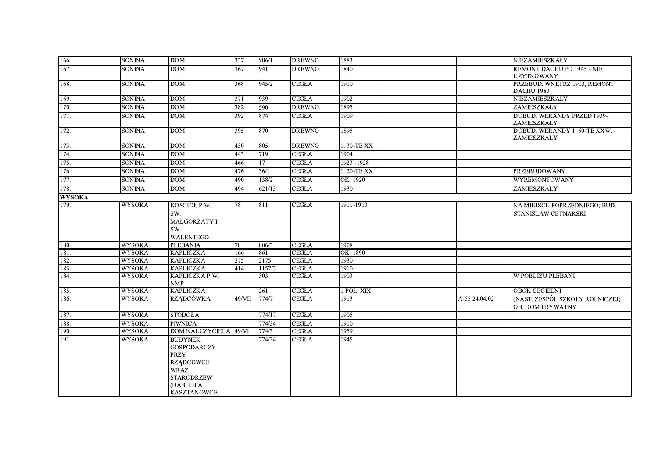| 166.          | <b>SONINA</b> | <b>DOM</b>                                                                                                                                 | 337              | 986/1  | <b>DREWNO</b> | 1883        |               | NIEZAMIESZKAŁY                                             |
|---------------|---------------|--------------------------------------------------------------------------------------------------------------------------------------------|------------------|--------|---------------|-------------|---------------|------------------------------------------------------------|
| 167.          | <b>SONINA</b> | DOM                                                                                                                                        | 367              | 941    | DREWNO.       | 1840        |               | REMONT DACHU PO 1945 - NIE<br><b>UŻYTKOWANY</b>            |
| 168.          | <b>SONINA</b> | <b>DOM</b>                                                                                                                                 | 368              | 945/2  | <b>CEGŁA</b>  | 1910        |               | PRZEBUD. WNĘTRZ 1913, REMONT<br>DACHU 1983                 |
| 169.          | <b>SONINA</b> | <b>DOM</b>                                                                                                                                 | 371              | 939    | <b>CEGŁA</b>  | 1902        |               | NIEZAMIESZKAŁY                                             |
| 170.          | <b>SONINA</b> | <b>DOM</b>                                                                                                                                 | 382              | 590    | DREWNO.       | 1895        |               | ZAMIESZKAŁY                                                |
| 171.          | <b>SONINA</b> | <b>DOM</b>                                                                                                                                 | $\overline{392}$ | 874    | <b>CEGŁA</b>  | 1909        |               | DOBUD. WERANDY PRZED 1939-<br>ZAMIESZKAŁY                  |
| 172.          | <b>SONINA</b> | <b>DOM</b>                                                                                                                                 | 395              | 870    | <b>DREWNO</b> | 1895        |               | DOBUD. WERANDY 1.60-TE XXW. -<br>ZAMIESZKAŁY               |
| 173.          | <b>SONINA</b> | <b>DOM</b>                                                                                                                                 | 430              | 805    | <b>DREWNO</b> | 1.30-TEXX   |               |                                                            |
| 174.          | <b>SONINA</b> | DOM                                                                                                                                        | 443              | 719    | <b>CEGŁA</b>  | 1904        |               |                                                            |
| 175.          | <b>SONINA</b> | <b>DOM</b>                                                                                                                                 | 466              | 17     | <b>CEGŁA</b>  | 1923 - 1928 |               |                                                            |
| 176.          | <b>SONINA</b> | <b>DOM</b>                                                                                                                                 | 476              | 36/1   | <b>CEGŁA</b>  | 1.20-TEXX   |               | <b>PRZEBUDOWANY</b>                                        |
| 177.          | <b>SONINA</b> | <b>DOM</b>                                                                                                                                 | 490              | 138/2  | <b>CEGŁA</b>  | OK. 1920    |               | <b>WYREMONTOWANY</b>                                       |
| 178.          | <b>SONINA</b> | <b>DOM</b>                                                                                                                                 | 494              | 621/13 | <b>CEGŁA</b>  | 1930        |               | ZAMIESZKAŁY                                                |
| <b>WYSOKA</b> |               |                                                                                                                                            |                  |        |               |             |               |                                                            |
| 179.          | <b>WYSOKA</b> | KOŚCIÓŁ P.W.<br>ŚW.<br>MAŁGORZATY I<br>ŚW.<br>WALENTEGO                                                                                    | 78               | 811    | <b>CEGŁA</b>  | 1911-1913   |               | NA MIEJSCU POPRZEDNIEGO; BUD.<br>STANISŁAW CETNARSKI       |
| 180.          | <b>WYSOKA</b> | <b>PLEBANIA</b>                                                                                                                            | 78               | 806/3  | <b>CEGŁA</b>  | 1908        |               |                                                            |
| 181.          | <b>WYSOKA</b> | <b>KAPLICZKA</b>                                                                                                                           | 166              | 861    | <b>CEGŁA</b>  | OK. 1890    |               |                                                            |
| 182.          | <b>WYSOKA</b> | <b>KAPLICZKA</b>                                                                                                                           | $\overline{275}$ | 2175   | <b>CEGŁA</b>  | 1930        |               |                                                            |
| 183.          | <b>WYSOKA</b> | <b>KAPLICZKA</b>                                                                                                                           | 414              | 1157/2 | <b>CEGŁA</b>  | 1910        |               |                                                            |
| 184.          | <b>WYSOKA</b> | KAPLICZKA P.W.<br>NMP                                                                                                                      |                  | 303    | <b>CEGŁA</b>  | 1903        |               | W POBLIŻU PLEBANI                                          |
| 185.          | <b>WYSOKA</b> | <b>KAPLICZKA</b>                                                                                                                           |                  | 261    | <b>CEGLA</b>  | 1 POŁ. XIX  |               | <b>OBOK CEGIELNI</b>                                       |
| 186.          | <b>WYSOKA</b> | <b>RZADCÓWKA</b>                                                                                                                           | 49/VII           | 774/7  | <b>CEGŁA</b>  | 1913        | A-55 24.04.02 | (NAST. ZESPÓŁ SZKOŁY ROLNICZEJ)<br><b>OB. DOM PRYWATNY</b> |
| 187.          | <b>WYSOKA</b> | <b>STODOŁA</b>                                                                                                                             |                  | 774/17 | <b>CEGŁA</b>  | 1905        |               |                                                            |
| 188.          | <b>WYSOKA</b> | <b>PIWNICA</b>                                                                                                                             |                  | 774/34 | <b>CEGLA</b>  | 1910        |               |                                                            |
| 190.          | <b>WYSOKA</b> | <b>DOM NAUCZYCIELA</b>                                                                                                                     | 49/VI            | 774/3  | <b>CEGŁA</b>  | 1959        |               |                                                            |
| 191.          | <b>WYSOKA</b> | <b>BUDYNEK</b><br><b>GOSPODARCZY</b><br><b>PRZY</b><br><b>RZĄDCÓWCE</b><br><b>WRAZ</b><br><b>STARODRZEW</b><br>(DAB, LIPA,<br>KASZTANOWCE, |                  | 774/34 | <b>CEGŁA</b>  | 1945        |               |                                                            |